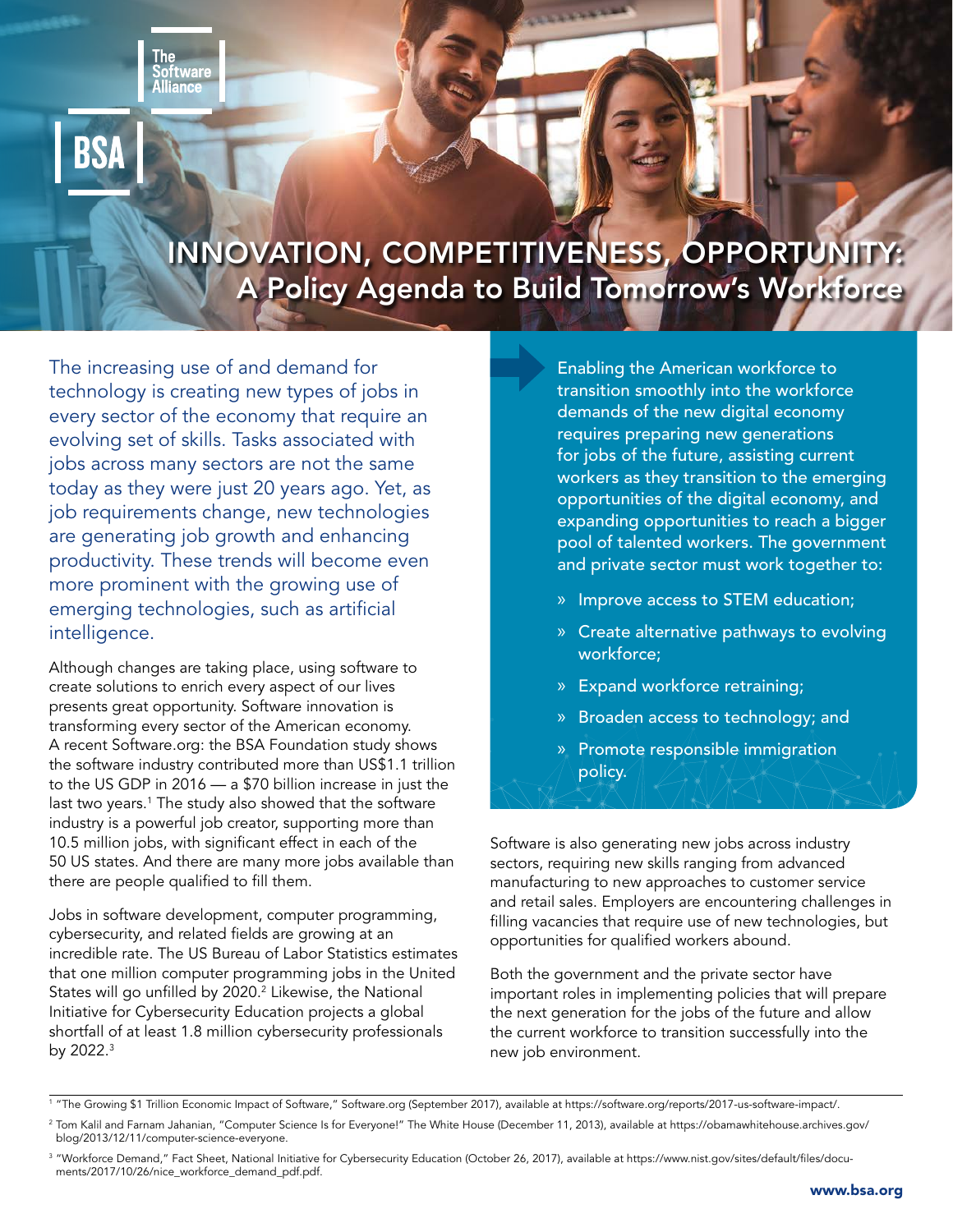tware



# INNOVATION, COMPETITIVENESS, OPPORTUNITY: A Policy Agenda to Build Tomorrow's Workforce

The increasing use of and demand for technology is creating new types of jobs in every sector of the economy that require an evolving set of skills. Tasks associated with jobs across many sectors are not the same today as they were just 20 years ago. Yet, as job requirements change, new technologies are generating job growth and enhancing productivity. These trends will become even more prominent with the growing use of emerging technologies, such as artificial intelligence.

Although changes are taking place, using software to create solutions to enrich every aspect of our lives presents great opportunity. Software innovation is transforming every sector of the American economy. A recent Software.org: the BSA Foundation study shows the software industry contributed more than US\$1.1 trillion to the US GDP in 2016 — a \$70 billion increase in just the last two years.<sup>1</sup> The study also showed that the software industry is a powerful job creator, supporting more than 10.5 million jobs, with significant effect in each of the 50 US states. And there are many more jobs available than there are people qualified to fill them.

Jobs in software development, computer programming, cybersecurity, and related fields are growing at an incredible rate. The US Bureau of Labor Statistics estimates that one million computer programming jobs in the United States will go unfilled by 2020.<sup>2</sup> Likewise, the National Initiative for Cybersecurity Education projects a global shortfall of at least 1.8 million cybersecurity professionals by 2022.3

Enabling the American workforce to transition smoothly into the workforce demands of the new digital economy requires preparing new generations for jobs of the future, assisting current workers as they transition to the emerging opportunities of the digital economy, and expanding opportunities to reach a bigger pool of talented workers. The government and private sector must work together to:

- » Improve access to STEM education;
- » Create alternative pathways to evolving workforce;
- » Expand workforce retraining;
- » Broaden access to technology; and
- » Promote responsible immigration policy.

Software is also generating new jobs across industry sectors, requiring new skills ranging from advanced manufacturing to new approaches to customer service and retail sales. Employers are encountering challenges in filling vacancies that require use of new technologies, but opportunities for qualified workers abound.

Both the government and the private sector have important roles in implementing policies that will prepare the next generation for the jobs of the future and allow the current workforce to transition successfully into the new job environment.

<sup>3</sup> "Workforce Demand," Fact Sheet, National Initiative for Cybersecurity Education (October 26, 2017), available at [https://www.nist.gov/sites/default/files/docu](https://www.nist.gov/sites/default/files/documents/2017/10/26/nice_workforce_demand_pdf.pdf)[ments/2017/10/26/nice\\_workforce\\_demand\\_pdf.pdf](https://www.nist.gov/sites/default/files/documents/2017/10/26/nice_workforce_demand_pdf.pdf).

<sup>1</sup> "The Growing \$1 Trillion Economic Impact of Software," Software.org (September 2017), available at [https://software.org/reports/2017-us-software-impact/.](https://software.org/reports/2017-us-software-impact/)

<sup>&</sup>lt;sup>2</sup> Tom Kalil and Farnam Jahanian, "Computer Science Is for Everyone!" The White House (December 11, 2013), available at [https://obamawhitehouse.archives.gov/](https://obamawhitehouse.archives.gov/blog/2013/12/11/computer-science-everyone) [blog/2013/12/11/computer-science-everyone](https://obamawhitehouse.archives.gov/blog/2013/12/11/computer-science-everyone).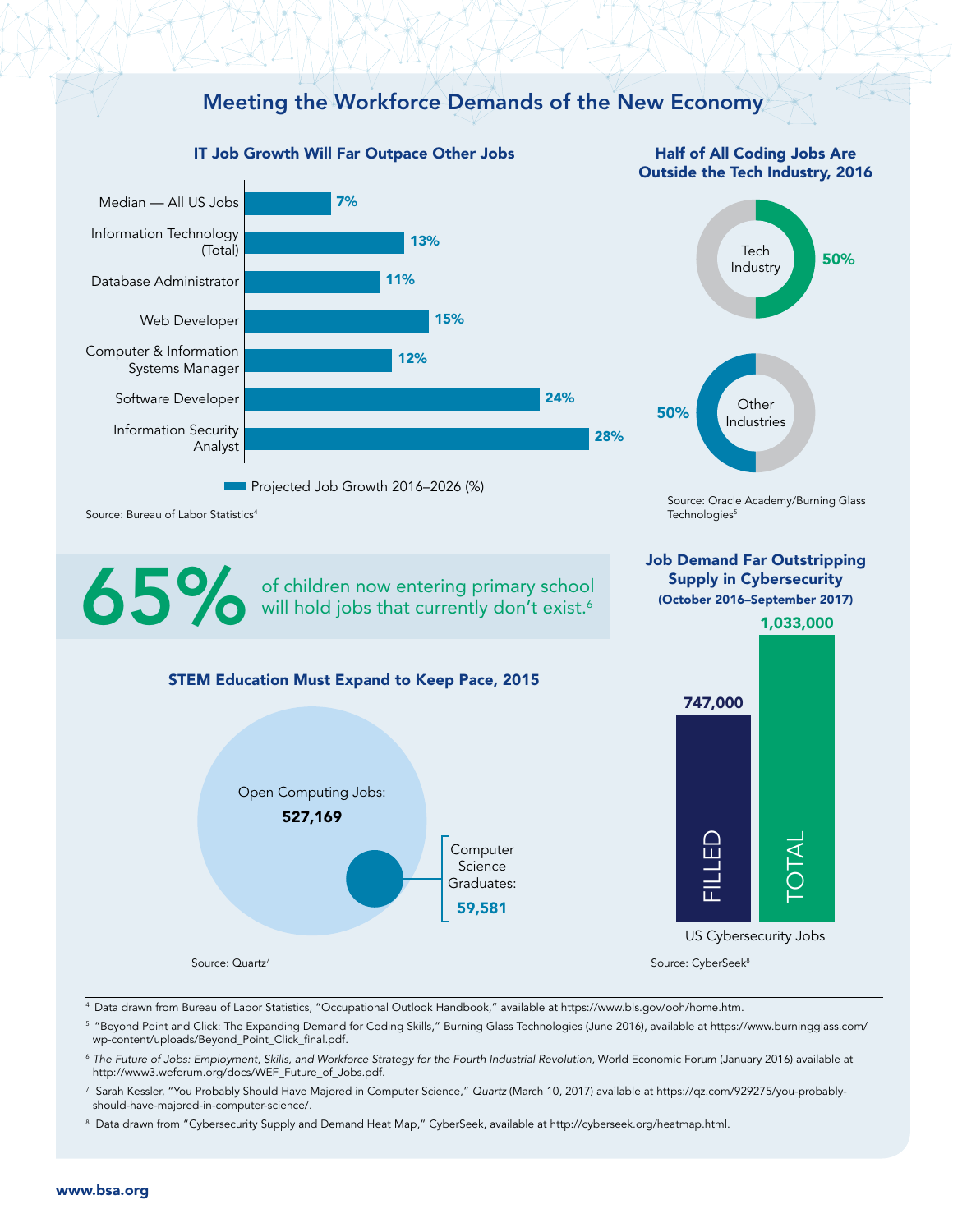

<sup>5</sup> "Beyond Point and Click: The Expanding Demand for Coding Skills," Burning Glass Technologies (June 2016), available at [https://www.burningglass.com/](https://www.burningglass.com/wp-content/uploads/Beyond_Point_Click_final.pdf) [wp-content/uploads/Beyond\\_Point\\_Click\\_final.pdf.](https://www.burningglass.com/wp-content/uploads/Beyond_Point_Click_final.pdf)

<sup>6</sup> *The Future of Jobs: Employment, Skills, and Workforce Strategy for the Fourth Industrial Revolution,* World Economic Forum (January 2016) available at [http://www3.weforum.org/docs/WEF\\_Future\\_of\\_Jobs.pdf.](http://www3.weforum.org/docs/WEF_Future_of_Jobs.pdf)

7 Sarah Kessler, "You Probably Should Have Majored in Computer Science," *Quartz* (March 10, 2017) available at [https://qz.com/929275/you-probably](https://qz.com/929275/you-probably-should-have-majored-in-computer-science/)[should-have-majored-in-computer-science/.](https://qz.com/929275/you-probably-should-have-majored-in-computer-science/)

<sup>8</sup> Data drawn from "Cybersecurity Supply and Demand Heat Map," CyberSeek, available at <http://cyberseek.org/heatmap.html>.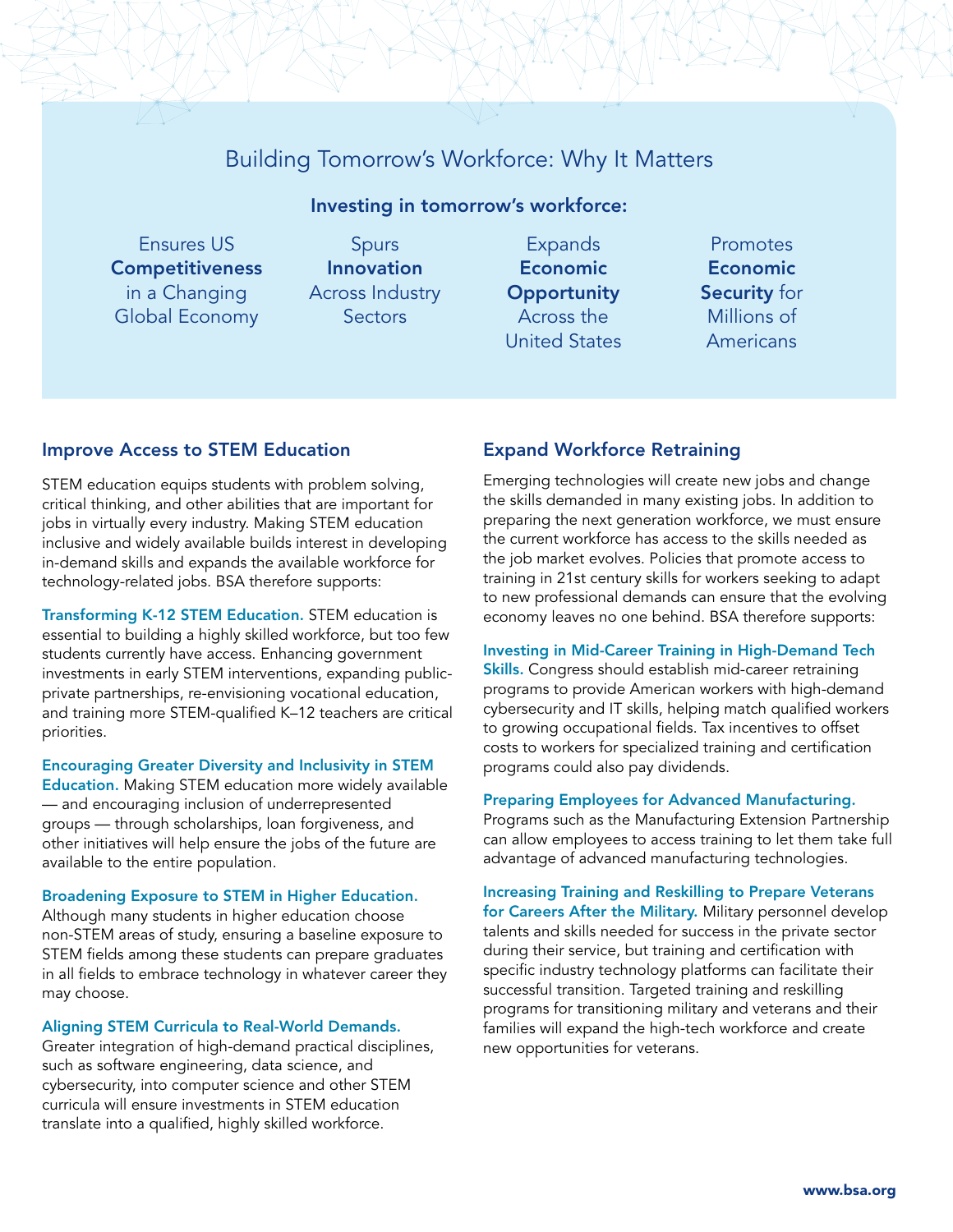# Building Tomorrow's Workforce: Why It Matters

# Investing in tomorrow's workforce:

Ensures US **Competitiveness** in a Changing Global Economy

Spurs Innovation Across Industry **Sectors** 

- Expands Economic **Opportunity** Across the United States
- Promotes Economic Security for Millions of Americans

### Improve Access to STEM Education

STEM education equips students with problem solving, critical thinking, and other abilities that are important for jobs in virtually every industry. Making STEM education inclusive and widely available builds interest in developing in-demand skills and expands the available workforce for technology-related jobs. BSA therefore supports:

Transforming K-12 STEM Education. STEM education is essential to building a highly skilled workforce, but too few students currently have access. Enhancing government investments in early STEM interventions, expanding publicprivate partnerships, re-envisioning vocational education, and training more STEM-qualified K–12 teachers are critical priorities.

Encouraging Greater Diversity and Inclusivity in STEM Education. Making STEM education more widely available — and encouraging inclusion of underrepresented

groups — through scholarships, loan forgiveness, and other initiatives will help ensure the jobs of the future are available to the entire population.

Broadening Exposure to STEM in Higher Education.

Although many students in higher education choose non-STEM areas of study, ensuring a baseline exposure to STEM fields among these students can prepare graduates in all fields to embrace technology in whatever career they may choose.

#### Aligning STEM Curricula to Real-World Demands.

Greater integration of high-demand practical disciplines, such as software engineering, data science, and cybersecurity, into computer science and other STEM curricula will ensure investments in STEM education translate into a qualified, highly skilled workforce.

## Expand Workforce Retraining

Emerging technologies will create new jobs and change the skills demanded in many existing jobs. In addition to preparing the next generation workforce, we must ensure the current workforce has access to the skills needed as the job market evolves. Policies that promote access to training in 21st century skills for workers seeking to adapt to new professional demands can ensure that the evolving economy leaves no one behind. BSA therefore supports:

#### Investing in Mid-Career Training in High-Demand Tech Skills. Congress should establish mid-career retraining programs to provide American workers with high-demand cybersecurity and IT skills, helping match qualified workers to growing occupational fields. Tax incentives to offset

#### Preparing Employees for Advanced Manufacturing.

programs could also pay dividends.

costs to workers for specialized training and certification

Programs such as the Manufacturing Extension Partnership can allow employees to access training to let them take full advantage of advanced manufacturing technologies.

Increasing Training and Reskilling to Prepare Veterans for Careers After the Military. Military personnel develop talents and skills needed for success in the private sector during their service, but training and certification with specific industry technology platforms can facilitate their successful transition. Targeted training and reskilling programs for transitioning military and veterans and their families will expand the high-tech workforce and create new opportunities for veterans.